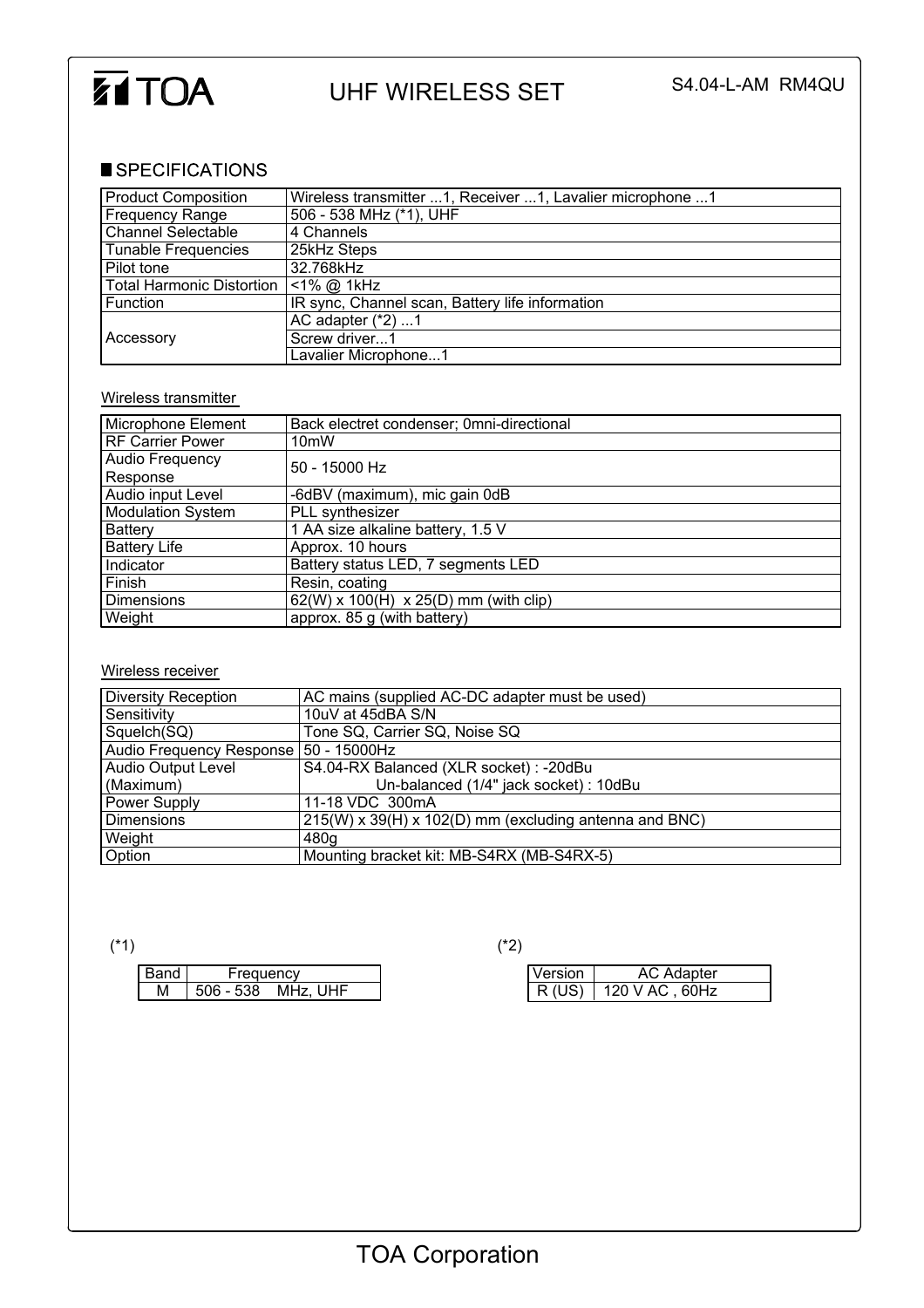

## UHF WIRELESS SET S4.04-L-AM RM4QU

## SPECIFICATIONS

| <b>Product Composition</b>       | Wireless transmitter 1, Receiver 1, Lavalier microphone 1 |  |  |
|----------------------------------|-----------------------------------------------------------|--|--|
| <b>Frequency Range</b>           | 506 - 538 MHz (*1), UHF                                   |  |  |
| <b>Channel Selectable</b>        | 4 Channels                                                |  |  |
| <b>Tunable Frequencies</b>       | 25kHz Steps                                               |  |  |
| Pilot tone                       | 32.768kHz                                                 |  |  |
| <b>Total Harmonic Distortion</b> | $<$ 1% @ 1kHz                                             |  |  |
| Function                         | IR sync, Channel scan, Battery life information           |  |  |
|                                  | AC adapter $(*2)$ 1                                       |  |  |
| Accessory                        | Screw driver1                                             |  |  |
|                                  | Lavalier Microphone1                                      |  |  |

## Wireless transmitter

| Microphone Element      | Back electret condenser; 0mni-directional |  |  |
|-------------------------|-------------------------------------------|--|--|
| <b>RF Carrier Power</b> | 10 <sub>m</sub> W                         |  |  |
| Audio Frequency         | $50 - 15000$ Hz                           |  |  |
| Response                |                                           |  |  |
| Audio input Level       | -6dBV (maximum), mic gain 0dB             |  |  |
| Modulation System       | PLL synthesizer                           |  |  |
| <b>Battery</b>          | 1 AA size alkaline battery, 1.5 V         |  |  |
| <b>Battery Life</b>     | Approx. 10 hours                          |  |  |
| Indicator               | Battery status LED, 7 segments LED        |  |  |
| Finish                  | Resin, coating                            |  |  |
| <b>Dimensions</b>       | $62(W)$ x 100(H) x 25(D) mm (with clip)   |  |  |
| Weight                  | approx. 85 g (with battery)               |  |  |

## Wireless receiver

| <b>Diversity Reception</b>              | AC mains (supplied AC-DC adapter must be used)         |  |  |
|-----------------------------------------|--------------------------------------------------------|--|--|
| Sensitivity                             | 10uV at 45dBA S/N                                      |  |  |
| Squelch(SQ)                             | Tone SQ, Carrier SQ, Noise SQ                          |  |  |
| Audio Frequency Response   50 - 15000Hz |                                                        |  |  |
| <b>Audio Output Level</b>               | S4.04-RX Balanced (XLR socket) : -20dBu                |  |  |
| (Maximum)                               | Un-balanced (1/4" jack socket) : 10dBu                 |  |  |
| Power Supply                            | 11-18 VDC 300mA                                        |  |  |
| Dimensions                              | 215(W) x 39(H) x 102(D) mm (excluding antenna and BNC) |  |  |
| Weight                                  | 480g                                                   |  |  |
| Option                                  | Mounting bracket kit: MB-S4RX (MB-S4RX-5)              |  |  |

| Band     | reauencv             |     |
|----------|----------------------|-----|
|          |                      |     |
| . .<br>М | 506<br>- 538<br>MHz. | JHF |
|          |                      |     |

(\*1)  $(2)$ 

| Version | AC Adapter     |  |
|---------|----------------|--|
| R (US)  | 120 V AC, 60Hz |  |